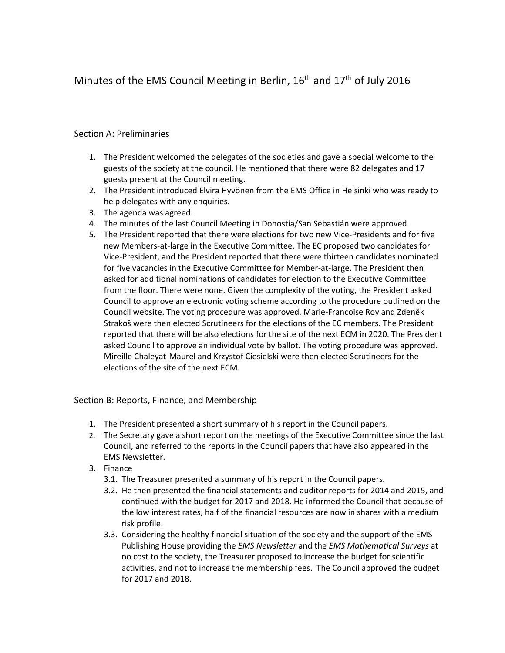# Minutes of the EMS Council Meeting in Berlin, 16<sup>th</sup> and 17<sup>th</sup> of July 2016

## Section A: Preliminaries

- 1. The President welcomed the delegates of the societies and gave a special welcome to the guests of the society at the council. He mentioned that there were 82 delegates and 17 guests present at the Council meeting.
- 2. The President introduced Elvira Hyvönen from the EMS Office in Helsinki who was ready to help delegates with any enquiries.
- 3. The agenda was agreed.
- 4. The minutes of the last Council Meeting in Donostia/San Sebastián were approved.
- 5. The President reported that there were elections for two new Vice-Presidents and for five new Members-at-large in the Executive Committee. The EC proposed two candidates for Vice-President, and the President reported that there were thirteen candidates nominated for five vacancies in the Executive Committee for Member-at-large. The President then asked for additional nominations of candidates for election to the Executive Committee from the floor. There were none. Given the complexity of the voting, the President asked Council to approve an electronic voting scheme according to the procedure outlined on the Council website. The voting procedure was approved. Marie-Francoise Roy and Zdenĕk Strakoš were then elected Scrutineers for the elections of the EC members. The President reported that there will be also elections for the site of the next ECM in 2020. The President asked Council to approve an individual vote by ballot. The voting procedure was approved. Mireille Chaleyat-Maurel and Krzystof Ciesielski were then elected Scrutineers for the elections of the site of the next ECM.

## Section B: Reports, Finance, and Membership

- 1. The President presented a short summary of his report in the Council papers.
- 2. The Secretary gave a short report on the meetings of the Executive Committee since the last Council, and referred to the reports in the Council papers that have also appeared in the EMS Newsletter.
- 3. Finance
	- 3.1. The Treasurer presented a summary of his report in the Council papers.
	- 3.2. He then presented the financial statements and auditor reports for 2014 and 2015, and continued with the budget for 2017 and 2018. He informed the Council that because of the low interest rates, half of the financial resources are now in shares with a medium risk profile.
	- 3.3. Considering the healthy financial situation of the society and the support of the EMS Publishing House providing the *EMS Newsletter* and the *EMS Mathematical Surveys* at no cost to the society, the Treasurer proposed to increase the budget for scientific activities, and not to increase the membership fees. The Council approved the budget for 2017 and 2018.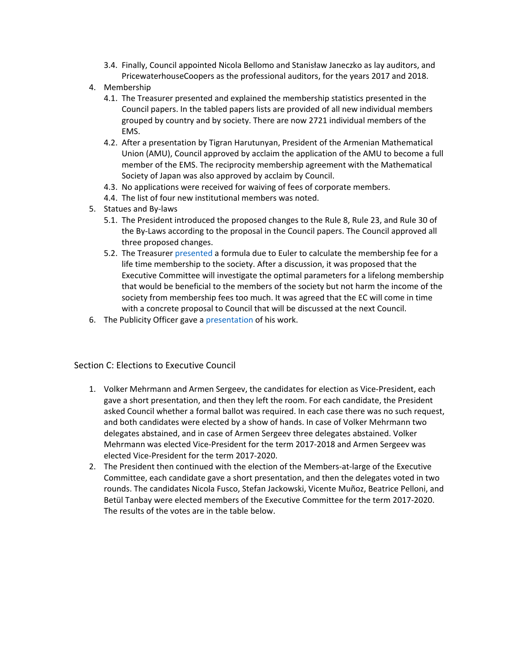- 3.4. Finally, Council appointed Nicola Bellomo and Stanisław Janeczko as lay auditors, and PricewaterhouseCoopers as the professional auditors, for the years 2017 and 2018.
- 4. Membership
	- 4.1. The Treasurer presented and explained the membership statistics presented in the Council papers. In the tabled papers lists are provided of all new individual members grouped by country and by society. There are now 2721 individual members of the EMS.
	- 4.2. After a presentation by Tigran Harutunyan, President of the Armenian Mathematical Union (AMU), Council approved by acclaim the application of the AMU to become a full member of the EMS. The reciprocity membership agreement with the Mathematical Society of Japan was also approved by acclaim by Council.
	- 4.3. No applications were received for waiving of fees of corporate members.
	- 4.4. The list of four new institutional members was noted.
- 5. Statues and By-laws
	- 5.1. The President introduced the proposed changes to the Rule 8, Rule 23, and Rule 30 of the By-Laws according to the proposal in the Council papers. The Council approved all three proposed changes.
	- 5.2. The Treasurer [presented](http://www.euro-math-soc.eu/system/files/uploads/1.%20Euler%20%281760%29.pdf) a formula due to Euler to calculate the membership fee for a life time membership to the society. After a discussion, it was proposed that the Executive Committee will investigate the optimal parameters for a lifelong membership that would be beneficial to the members of the society but not harm the income of the society from membership fees too much. It was agreed that the EC will come in time with a concrete proposal to Council that will be discussed at the next Council.
- 6. The Publicity Officer gave a [presentation](http://www.euro-math-soc.eu/system/files/uploads/2.%20Presentation%20Publicity%20Officer.pdf) of his work.

Section C: Elections to Executive Council

- 1. Volker Mehrmann and Armen Sergeev, the candidates for election as Vice-President, each gave a short presentation, and then they left the room. For each candidate, the President asked Council whether a formal ballot was required. In each case there was no such request, and both candidates were elected by a show of hands. In case of Volker Mehrmann two delegates abstained, and in case of Armen Sergeev three delegates abstained. Volker Mehrmann was elected Vice-President for the term 2017-2018 and Armen Sergeev was elected Vice-President for the term 2017-2020.
- 2. The President then continued with the election of the Members-at-large of the Executive Committee, each candidate gave a short presentation, and then the delegates voted in two rounds. The candidates Nicola Fusco, Stefan Jackowski, Vicente Muñoz, Beatrice Pelloni, and Betül Tanbay were elected members of the Executive Committee for the term 2017-2020. The results of the votes are in the table below.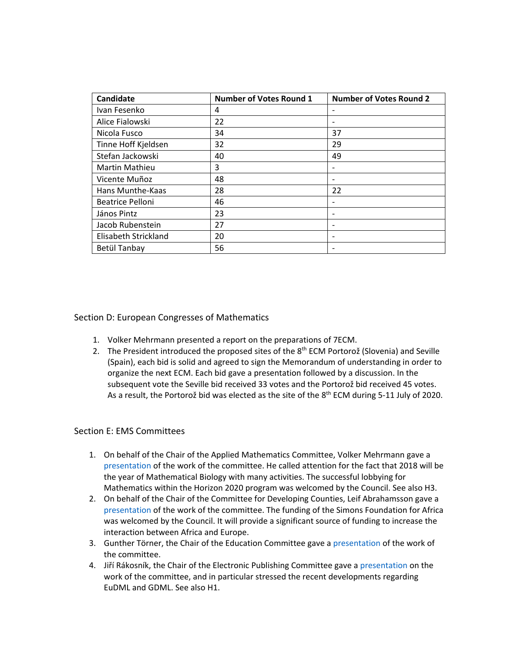| <b>Candidate</b>        | <b>Number of Votes Round 1</b> | <b>Number of Votes Round 2</b> |
|-------------------------|--------------------------------|--------------------------------|
| Ivan Fesenko            | 4                              |                                |
| Alice Fialowski         | 22                             | $\qquad \qquad$                |
| Nicola Fusco            | 34                             | 37                             |
| Tinne Hoff Kjeldsen     | 32                             | 29                             |
| Stefan Jackowski        | 40                             | 49                             |
| <b>Martin Mathieu</b>   | 3                              |                                |
| Vicente Muñoz           | 48                             |                                |
| Hans Munthe-Kaas        | 28                             | 22                             |
| <b>Beatrice Pelloni</b> | 46                             |                                |
| János Pintz             | 23                             | $\qquad \qquad \blacksquare$   |
| Jacob Rubenstein        | 27                             |                                |
| Elisabeth Strickland    | 20                             |                                |
| Betül Tanbay            | 56                             |                                |

#### Section D: European Congresses of Mathematics

- 1. Volker Mehrmann presented a report on the preparations of 7ECM.
- 2. The President introduced the proposed sites of the  $8<sup>th</sup>$  ECM Portorož (Slovenia) and Seville (Spain), each bid is solid and agreed to sign the Memorandum of understanding in order to organize the next ECM. Each bid gave a presentation followed by a discussion. In the subsequent vote the Seville bid received 33 votes and the Portorož bid received 45 votes. As a result, the Portorož bid was elected as the site of the 8<sup>th</sup> ECM during 5-11 July of 2020.

#### Section E: EMS Committees

- 1. On behalf of the Chair of the Applied Mathematics Committee, Volker Mehrmann gave a [presentation](http://www.euro-math-soc.eu/system/files/uploads/3.%20Presentation%20of%20Applied%20Mathematics%20Committee.pdf) of the work of the committee. He called attention for the fact that 2018 will be the year of Mathematical Biology with many activities. The successful lobbying for Mathematics within the Horizon 2020 program was welcomed by the Council. See also H3.
- 2. On behalf of the Chair of the Committee for Developing Counties, Leif Abrahamsson gave a [presentation](http://www.euro-math-soc.eu/system/files/uploads/4.%20Report%20of%20Developing%20Countries%20Committee.pdf) of the work of the committee. The funding of the Simons Foundation for Africa was welcomed by the Council. It will provide a significant source of funding to increase the interaction between Africa and Europe.
- 3. Gunther Törner, the Chair of the Education Committee gave a [presentation](http://www.euro-math-soc.eu/system/files/uploads/5.%20Presentation%20of%20Committee%20for%20Education.pdf) of the work of the committee.
- 4. Jiří Rákosník, the Chair of the Electronic Publishing Committee gave a [presentation](http://www.euro-math-soc.eu/system/files/uploads/6.%20Presentation%20of%20Electronic%20Publishing%20Committee.pdf) on the work of the committee, and in particular stressed the recent developments regarding EuDML and GDML. See also H1.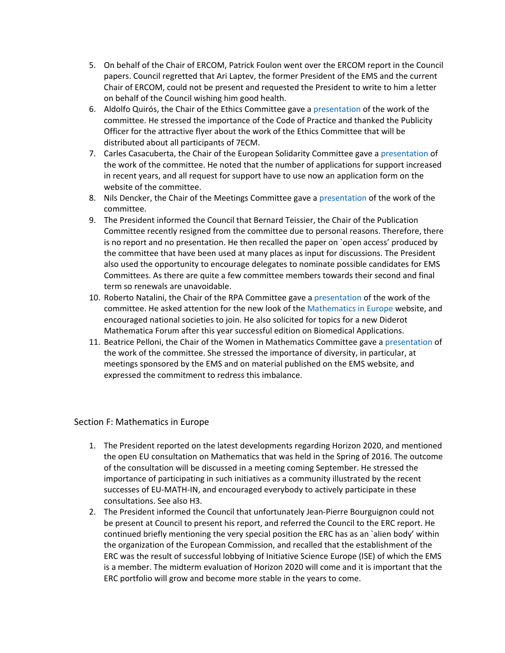- 5. On behalf of the Chair of ERCOM, Patrick Foulon went over the ERCOM report in the Council papers. Council regretted that Ari Laptev, the former President of the EMS and the current Chair of ERCOM, could not be present and requested the President to write to him a letter on behalf of the Council wishing him good health.
- 6. Aldolfo Quirós, the Chair of the Ethics Committee gave a [presentation](http://www.euro-math-soc.eu/system/files/uploads/9.%20Presentation%20of%20Ethics%20Committee.pdf) of the work of the committee. He stressed the importance of the Code of Practice and thanked the Publicity Officer for the attractive flyer about the work of the Ethics Committee that will be distributed about all participants of 7ECM.
- 7. Carles Casacuberta, the Chair of the European Solidarity Committee gave a [presentation](http://www.euro-math-soc.eu/system/files/uploads/10.%20Presentation%20of%20Solidarity%20Committee.pdf) of the work of the committee. He noted that the number of applications for support increased in recent years, and all request for support have to use now an application form on the website of the committee.
- 8. Nils Dencker, the Chair of the Meetings Committee gave a [presentation](http://www.euro-math-soc.eu/system/files/uploads/11.%20Presentation%20of%20Meetings%20Committee.pdf) of the work of the committee.
- 9. The President informed the Council that Bernard Teissier, the Chair of the Publication Committee recently resigned from the committee due to personal reasons. Therefore, there is no report and no presentation. He then recalled the paper on `open access' produced by the committee that have been used at many places as input for discussions. The President also used the opportunity to encourage delegates to nominate possible candidates for EMS Committees. As there are quite a few committee members towards their second and final term so renewals are unavoidable.
- 10. Roberto Natalini, the Chair of the RPA Committee gave a [presentation](http://www.euro-math-soc.eu/system/files/uploads/12.%20Presentation%20of%20Raising%20Public%20Awareness%20Committees.pdf) of the work of the committee. He asked attention for the new look of th[e Mathematics in Europe](http://mathematics-in-europe.eu/) website, and encouraged national societies to join. He also solicited for topics for a new Diderot Mathematica Forum after this year successful edition on Biomedical Applications.
- 11. Beatrice Pelloni, the Chair of the Women in Mathematics Committee gave a [presentation](http://www.euro-math-soc.eu/system/files/uploads/13.%20Presentation%20of%20Women%20in%20Mathematics%20Committee.pdf) of the work of the committee. She stressed the importance of diversity, in particular, at meetings sponsored by the EMS and on material published on the EMS website, and expressed the commitment to redress this imbalance.

#### Section F: Mathematics in Europe

- 1. The President reported on the latest developments regarding Horizon 2020, and mentioned the open EU consultation on Mathematics that was held in the Spring of 2016. The outcome of the consultation will be discussed in a meeting coming September. He stressed the importance of participating in such initiatives as a community illustrated by the recent successes of EU-MATH-IN, and encouraged everybody to actively participate in these consultations. See also H3.
- 2. The President informed the Council that unfortunately Jean-Pierre Bourguignon could not be present at Council to present his report, and referred the Council to the ERC report. He continued briefly mentioning the very special position the ERC has as an `alien body' within the organization of the European Commission, and recalled that the establishment of the ERC was the result of successful lobbying of Initiative Science Europe (ISE) of which the EMS is a member. The midterm evaluation of Horizon 2020 will come and it is important that the ERC portfolio will grow and become more stable in the years to come.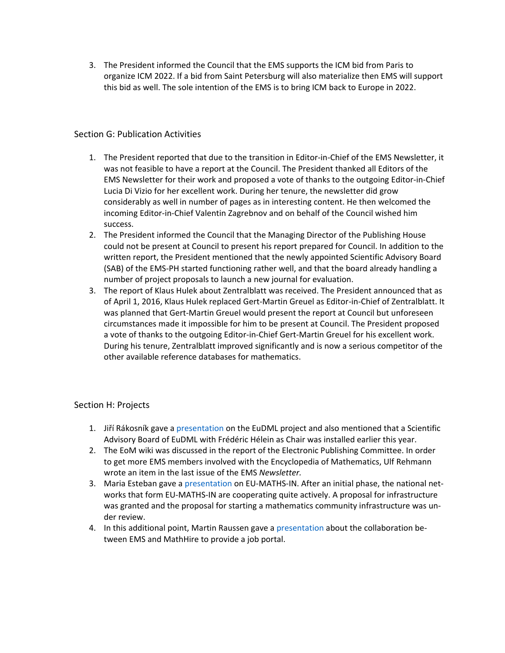3. The President informed the Council that the EMS supports the ICM bid from Paris to organize ICM 2022. If a bid from Saint Petersburg will also materialize then EMS will support this bid as well. The sole intention of the EMS is to bring ICM back to Europe in 2022.

## Section G: Publication Activities

- 1. The President reported that due to the transition in Editor-in-Chief of the EMS Newsletter, it was not feasible to have a report at the Council. The President thanked all Editors of the EMS Newsletter for their work and proposed a vote of thanks to the outgoing Editor-in-Chief Lucia Di Vizio for her excellent work. During her tenure, the newsletter did grow considerably as well in number of pages as in interesting content. He then welcomed the incoming Editor-in-Chief Valentin Zagrebnov and on behalf of the Council wished him success.
- 2. The President informed the Council that the Managing Director of the Publishing House could not be present at Council to present his report prepared for Council. In addition to the written report, the President mentioned that the newly appointed Scientific Advisory Board (SAB) of the EMS-PH started functioning rather well, and that the board already handling a number of project proposals to launch a new journal for evaluation.
- 3. The report of Klaus Hulek about Zentralblatt was received. The President announced that as of April 1, 2016, Klaus Hulek replaced Gert-Martin Greuel as Editor-in-Chief of Zentralblatt. It was planned that Gert-Martin Greuel would present the report at Council but unforeseen circumstances made it impossible for him to be present at Council. The President proposed a vote of thanks to the outgoing Editor-in-Chief Gert-Martin Greuel for his excellent work. During his tenure, Zentralblatt improved significantly and is now a serious competitor of the other available reference databases for mathematics.

## Section H: Projects

- 1. Jiří Rákosník gave a [presentation](http://www.euro-math-soc.eu/system/files/uploads/7.%20EuDML.pdf) on the EuDML project and also mentioned that a Scientific Advisory Board of EuDML with Frédéric Hélein as Chair was installed earlier this year.
- 2. The EoM wiki was discussed in the report of the Electronic Publishing Committee. In order to get more EMS members involved with the Encyclopedia of Mathematics, Ulf Rehmann wrote an item in the last issue of the EMS *Newsletter.*
- 3. Maria Esteban gave a [presentation](http://www.euro-math-soc.eu/system/files/uploads/14.%20EU-MATHS-IN.pdf) on EU-MATHS-IN. After an initial phase, the national networks that form EU-MATHS-IN are cooperating quite actively. A proposal for infrastructure was granted and the proposal for starting a mathematics community infrastructure was under review.
- 4. In this additional point, Martin Raussen gave a [presentation](http://www.euro-math-soc.eu/system/files/uploads/8.%20MathHire.pdf) about the collaboration between EMS and MathHire to provide a job portal.